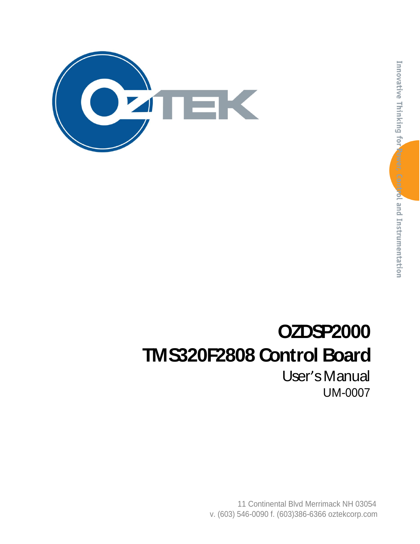

# **OZDSP2000 TMS320F2808 Control Board**

User's Manual UM-0007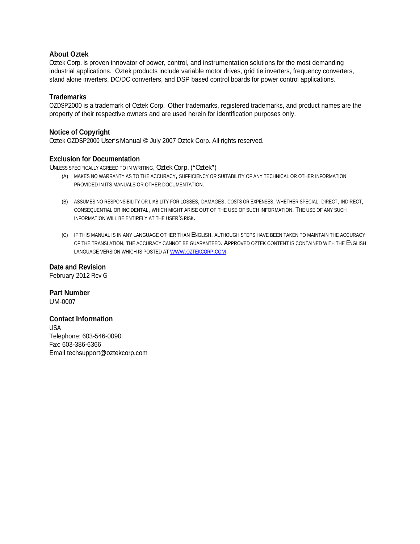#### **About Oztek**

Oztek Corp. is proven innovator of power, control, and instrumentation solutions for the most demanding industrial applications. Oztek products include variable motor drives, grid tie inverters, frequency converters, stand alone inverters, DC/DC converters, and DSP based control boards for power control applications.

#### **Trademarks**

OZDSP2000 is a trademark of Oztek Corp. Other trademarks, registered trademarks, and product names are the property of their respective owners and are used herein for identification purposes only.

#### **Notice of Copyright**

Oztek OZDSP2000 User's Manual @ July 2007 Oztek Corp. All rights reserved.

#### **Exclusion for Documentation**

UNLESS SPECIFICALLY AGREED TO IN WRITING, Oztek Corp. ("Oztek")

- (A) MAKES NO WARRANTY AS TO THE ACCURACY, SUFFICIENCY OR SUITABILITY OF ANY TECHNICAL OR OTHER INFORMATION PROVIDED IN ITS MANUALS OR OTHER DOCUMENTATION.
- (B) ASSUMES NO RESPONSIBILITY OR LIABILITY FOR LOSSES, DAMAGES, COSTS OR EXPENSES, WHETHER SPECIAL, DIRECT, INDIRECT,<br>CONSEQUENTIAL OR INCIDENTAL, WHICH MIGHT ARISE OUT OF THE USE OF SUCH INFORMATION. THE USE OF ANY SUCH INFORMATION WILL BE ENTIRELY AT THE USER'S RISK.
- (C) IF THIS MANUAL IS IN ANY LANGUAGE OTHER THAN ENGLISH, ALTHOUGH STEPS HAVE BEEN TAKEN TO MAINTAIN THE ACCURACY OF THE TRANSLATION, THE ACCURACY CANNOT BE GUARANTEED. APPROVED OZTEK CONTENT IS CONTAINED WITH THE ENGLISH LANGUAGE VERSION WHICH IS POSTED AT WWW.OZTEKCORP.COM.

**Date and Revision** February 2012 Rev G

**Part Number** UM-0007

#### **Contact Information**

USA and the contract of the contract of the contract of the contract of the contract of the contract of the contract of the contract of the contract of the contract of the contract of the contract of the contract of the co Telephone: 603-546-0090 Fax: 603-386-6366 Email techsupport@oztekcorp.com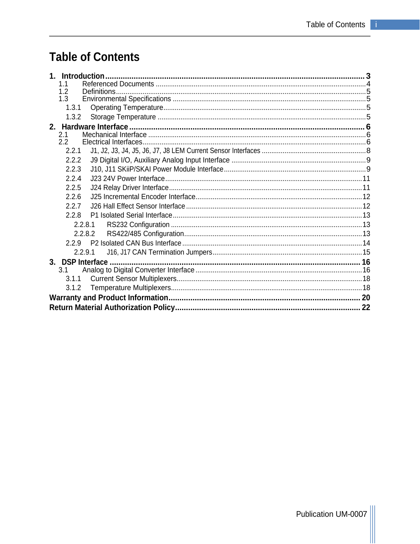# **Table of Contents**

| 1. Introduction   |  |
|-------------------|--|
| 1.1               |  |
| 1.2               |  |
| 1.3               |  |
| 1.3.1             |  |
| 1.3.2             |  |
|                   |  |
| 2.1               |  |
| 2.2               |  |
| 2.2.1             |  |
| 2.2.2             |  |
| 2.2.3             |  |
| 2.2.4             |  |
| 2.2.5             |  |
| 2.2.6             |  |
| 2.2.7             |  |
| 2.2.8             |  |
| 2.2.8.1           |  |
| 2.2.8.2           |  |
| 229               |  |
| 2.2.9.1           |  |
| 3. DSP Interface. |  |
| 3.1               |  |
| 3.1.1             |  |
| 3.1.2             |  |
|                   |  |
|                   |  |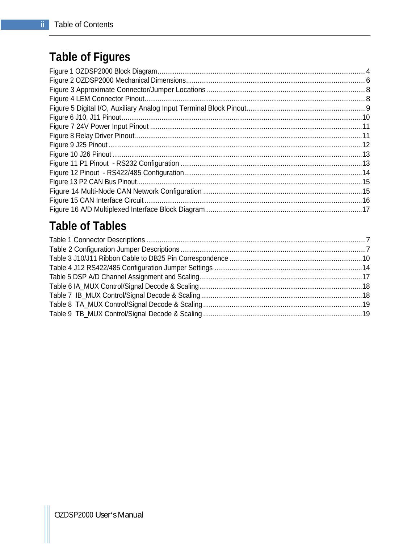# **Table of Figures**

# **Table of Tables**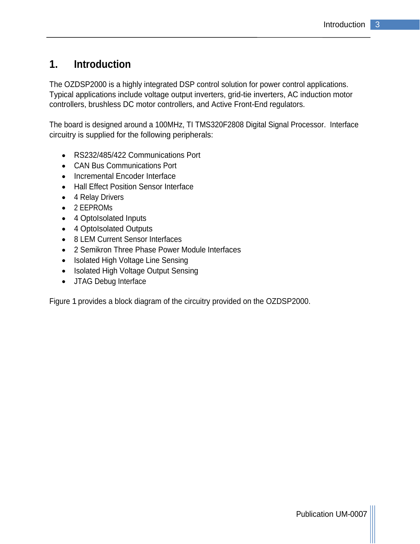# **1. Introduction**

The OZDSP2000 is a highly integrated DSP control solution for power control applications. Typical applications include voltage output inverters, grid-tie inverters, AC induction motor controllers, brushless DC motor controllers, and Active Front-End regulators.

The board is designed around a 100MHz, TI TMS320F2808 Digital Signal Processor. Interface circuitry is supplied for the following peripherals:

- RS232/485/422 Communications Port
- CAN Bus Communications Port
- Incremental Encoder Interface
- Hall Effect Position Sensor Interface
- 4 Relay Drivers
- 2 EEPROMs
- 4 OptoIsolated Inputs
- 4 OptoIsolated Outputs
- 8 LEM Current Sensor Interfaces
- 2 Semikron Three Phase Power Module Interfaces
- Isolated High Voltage Line Sensing
- Isolated High Voltage Output Sensing
- JTAG Debug Interface

Figure 1 provides a block diagram of the circuitry provided on the OZDSP2000.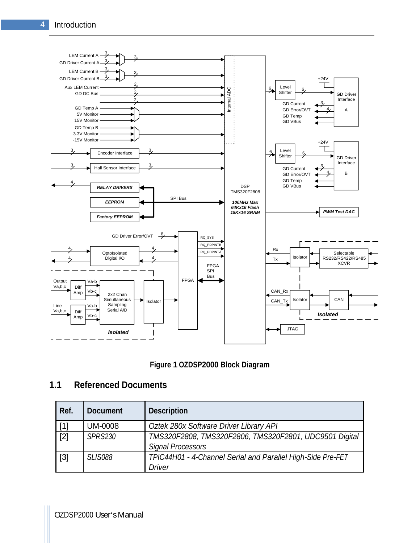

#### **Figure 1 OZDSP2000 Block Diagram**

#### **1.1 Referenced Documents**

| Ref.  | Document       | Description                                                                          |
|-------|----------------|--------------------------------------------------------------------------------------|
| [1]   | <b>UM-0008</b> | Oztek 280x Software Driver Library API                                               |
| $[2]$ | <b>SPRS230</b> | TMS320F2808, TMS320F2806, TMS320F2801, UDC9501 Digital  <br><b>Signal Processors</b> |
| $[3]$ | <b>SLIS088</b> | TPIC44H01 - 4-Channel Serial and Parallel High-Side Pre-FET<br>Driver                |

OZDSP2000 User's Manual control of the control of the control of the control of the control of the control of the control of the control of the control of the control of the control of the control of the control of the con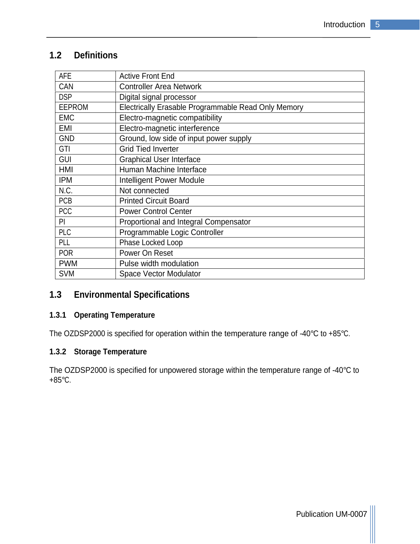### **1.2 Definitions**

| AFE        | Active Front End                                    |
|------------|-----------------------------------------------------|
| CAN        | Controller Area Network                             |
| <b>DSP</b> | Digital signal processor                            |
| EEPROM     | Electrically Erasable Programmable Read Only Memory |
| EMC        | Electro-magnetic compatibility                      |
| EMI        | Electro-magnetic interference                       |
| GND        | Ground, low side of input power supply              |
| GTI        | <b>Grid Tied Inverter</b>                           |
| GUI        | Graphical User Interface                            |
| <b>HMI</b> | Human Machine Interface                             |
| <b>IPM</b> | Intelligent Power Module                            |
| N.C.       | Not connected                                       |
| PCB        | Printed Circuit Board                               |
| PCC        | Power Control Center                                |
| PI         | Proportional and Integral Compensator               |
| PLC        | Programmable Logic Controller                       |
| PL         | <b>Phase Locked Loop</b>                            |
| POR        | Power On Reset                                      |
| <b>PWM</b> | Pulse width modulation                              |
| <b>SVM</b> | Space Vector Modulator                              |
|            |                                                     |

# **1.3 Environmental Specifications**

#### **1.3.1 Operating Temperature**

The OZDSP2000 is specified for operation within the temperature range of -40°C to +85°C.

#### **1.3.2 Storage Temperature**

The OZDSP2000 is specified for unpowered storage within the temperature range of -40°C to +85°C.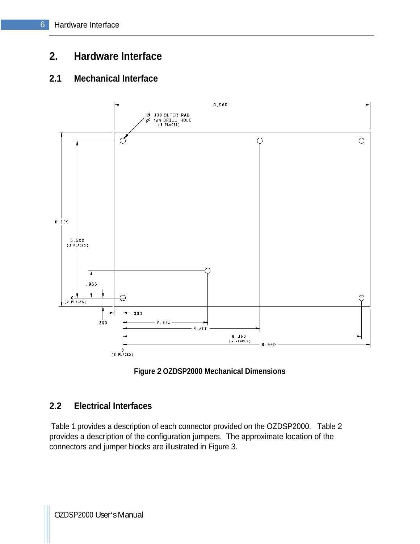# **2. Hardware Interface**

### **2.1 Mechanical Interface**





### **2.2 Electrical Interfaces**

Table 1 provides a description of each connector provided on the OZDSP2000. Table 2 provides a description of the configuration jumpers. The approximate location of the connectors and jumper blocks are illustrated in Figure 3.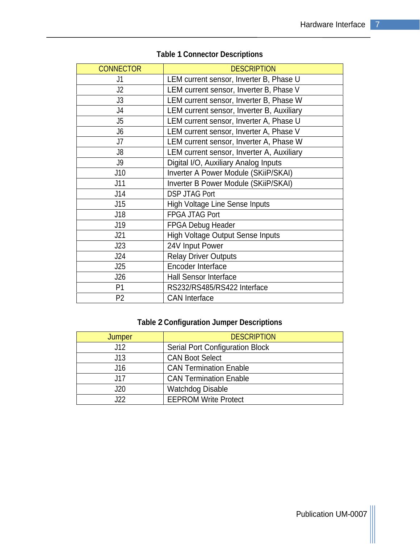| CONNECTOR  | <b>DESCRIPTION</b>                        |
|------------|-------------------------------------------|
|            | LEM current sensor, Inverter B, Phase U   |
| <u>ا ۱</u> | LEM current sensor, Inverter B, Phase V   |
| J3         | LEM current sensor, Inverter B, Phase W   |
|            | LEM current sensor, Inverter B, Auxiliary |
|            | LEM current sensor, Inverter A, Phase U   |
|            | LEM current sensor, Inverter A, Phase V   |
|            | LEM current sensor, Inverter A, Phase W   |
|            | LEM current sensor, Inverter A, Auxiliary |
|            | Digital I/O, Auxiliary Analog Inputs      |
| J10        | Inverter A Power Module (SKiiP/SKAI)      |
| J11        | Inverter B Power Module (SKiiP/SKAI)      |
| J14        | DSP JTAG Port                             |
| J15        | High Voltage Line Sense Inputs            |
| J18        | FPGA JTAG Port                            |
| J19        | FPGA Debug Header                         |
| J21        | High Voltage Output Sense Inputs          |
| J23        | 24V Input Power                           |
| J24        | Relay Driver Outputs                      |
| J25        | Encoder Interface                         |
| J26        | Hall Sensor Interface                     |
| <b>P1</b>  | RS232/RS485/RS422 Interface               |
| P2         | <b>CAN</b> Interface                      |

# **Table 1 Connector Descriptions**

# **Table 2 Configuration Jumper Descriptions**

| Jumper          | <b>DESCRIPTION</b>              |
|-----------------|---------------------------------|
|                 | Serial Port Configuration Block |
| 140             | <b>CAN Boot Select</b>          |
|                 | <b>CAN Termination Enable</b>   |
| $\rightarrow$   | CAN Termination Enable          |
| 120<br>◡∠◡      | <b>Watchdog Disable</b>         |
| $\sim$<br>$- -$ | EEPROM Write Protect            |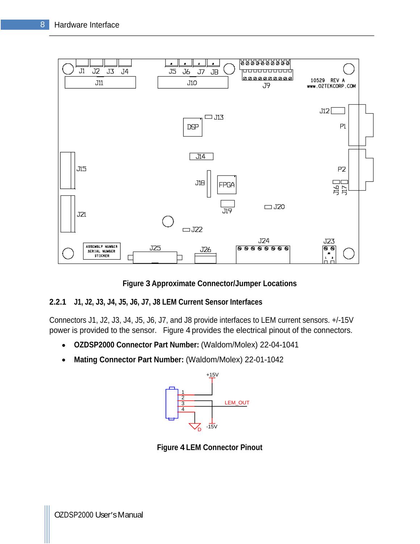

**Figure 3 Approximate Connector/Jumper Locations**

#### **2.2.1 J1, J2, J3, J4, J5, J6, J7, J8 LEM Current Sensor Interfaces**

Connectors J1, J2, J3, J4, J5, J6, J7, and J8 provide interfaces to LEM current sensors. +/-15V power is provided to the sensor. Figure 4 provides the electrical pinout of the connectors.

- **OZDSP2000 Connector Part Number:** (Waldom/Molex) 22-04-1041  $\bullet$
- **Mating Connector Part Number:** (Waldom/Molex) 22-01-1042  $\bullet$



**Figure 4 LEM Connector Pinout**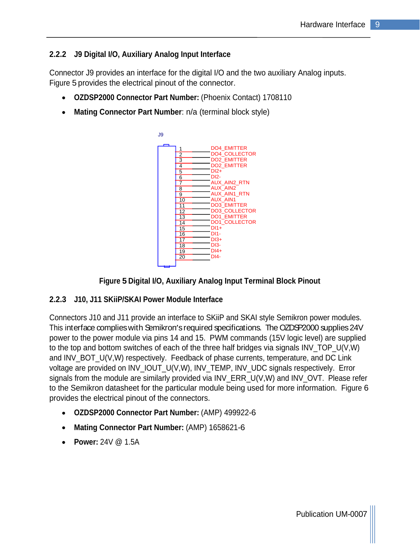#### **2.2.2 J9 Digital I/O, Auxiliary Analog Input Interface**

Connector J9 provides an interface for the digital I/O and the two auxiliary Analog inputs. Figure 5 provides the electrical pinout of the connector.

- **OZDSP2000 Connector Part Number:** (Phoenix Contact) 1708110
- **Mating Connector Part Number**: n/a (terminal block style)





#### **2.2.3 J10, J11 SKiiP/SKAI Power Module Interface**

Connectors J10 and J11 provide an interface to SKiiP and SKAI style Semikron power modules. This interface complies with Semikron's required specifications. The OZDSP2000 supplies 24V power to the power module via pins 14 and 15. PWM commands (15V logic level) are supplied to the top and bottom switches of each of the three half bridges via signals INV\_TOP\_U(V,W) and INV\_BOT\_U(V,W) respectively. Feedback of phase currents, temperature, and DC Link voltage are provided on INV\_IOUT\_U(V,W), INV\_TEMP, INV\_UDC signals respectively. Error signals from the module are similarly provided via INV\_ERR\_U(V,W) and INV\_OVT. Please refer to the Semikron datasheet for the particular module being used for more information. Figure 6 provides the electrical pinout of the connectors.

- **OZDSP2000 Connector Part Number:** (AMP) 499922-6
- **Mating Connector Part Number:** (AMP) 1658621-6
- **Power:** 24V @ 1.5A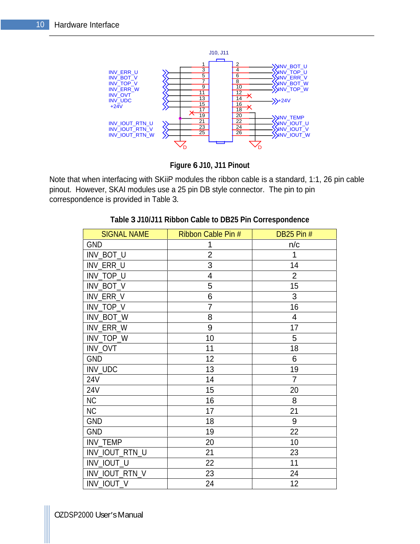

**Figure 6 J10, J11 Pinout**

Note that when interfacing with SKiiP modules the ribbon cable is a standard, 1:1, 26 pin cable pinout. However, SKAI modules use a 25 pin DB style connector. The pin to pin correspondence is provided in Table 3.

| SIGNAL NAME                                                          | Ribbon Cable Pin # | DB25 Pin #        |
|----------------------------------------------------------------------|--------------------|-------------------|
|                                                                      |                    | n/c               |
|                                                                      | ົດ                 |                   |
|                                                                      |                    | 14                |
| GND<br>INV_BOT_U<br>INV_ERR_U<br>INV_TOP_U<br>INV_BOT_V<br>INV_ERR_V |                    | - വ<br>$\epsilon$ |
|                                                                      |                    | 15                |
| INV_ERR_V                                                            |                    | $\sim$            |
|                                                                      |                    | 16                |
| $\frac{\mathsf{INV\_TOP\_V}}{\mathsf{INV\_BOT\_W}}$                  |                    |                   |
| INV_ERR_W<br>INV_TOP_W<br>INV_OVT<br>GND<br>24V<br>24V               |                    | 17                |
|                                                                      | 10                 | ာ                 |
|                                                                      | 11                 | 18                |
|                                                                      | 12                 | $\sim$            |
|                                                                      | 13                 | 19                |
|                                                                      | 14                 | $\overline{z}$    |
| $\frac{24V}{NC}$                                                     | 15                 | 20                |
|                                                                      | 16                 | 8                 |
| $\overline{NC}$                                                      | 17                 | 21                |
| GND<br>GND                                                           | 18                 | റ                 |
|                                                                      | 19                 | 22                |
| INV_TEMP                                                             | 20                 | 10                |
| INV_IOUT_RTN_U                                                       | 21                 | 23                |
| INV_IOUT_U                                                           | 22                 | 11                |
| INV_IOUT_RTN_V                                                       | 23                 | 24                |
| INV_IOUT_V                                                           | 24                 | 12                |

#### **Table 3 J10/J11 Ribbon Cable to DB25 Pin Correspondence**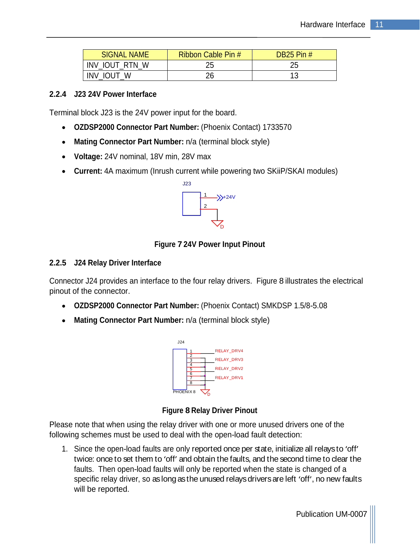| SIGNAL NAME    | <b>Contract Contract</b><br>Ribbon Cable Pin # | DB25 Pin # |
|----------------|------------------------------------------------|------------|
| INV_IOUT_RTN_W | $\sim$ $\sim$<br>້∠ບ                           | ້⊷         |
| INV_IOUT_\     | $\sim$<br>∼∽                                   |            |

#### **2.2.4 J23 24V Power Interface**

Terminal block J23 is the 24V power input for the board.

- **OZDSP2000 Connector Part Number:** (Phoenix Contact) 1733570
- **Mating Connector Part Number:** n/a (terminal block style)
- **Voltage:** 24V nominal, 18V min, 28V max
- **Current:** 4A maximum (Inrush current while powering two SKiiP/SKAI modules)



#### **Figure 7 24V Power Input Pinout**

#### **2.2.5 J24 Relay Driver Interface**

Connector J24 provides an interface to the four relay drivers. Figure 8 illustrates the electrical pinout of the connector.

- **OZDSP2000 Connector Part Number:** (Phoenix Contact) SMKDSP 1.5/8-5.08
- **Mating Connector Part Number:** n/a (terminal block style)



#### **Figure 8 Relay Driver Pinout**

Please note that when using the relay driver with one or more unused drivers one of the following schemes must be used to deal with the open-load fault detection:

1. Since the open-load faults are only reported once per state, initialize all relaysto 'off' twice: once to set them to 'off' and obtain the faults, and the second time to clear the faults. Then open-load faults will only be reported when the state is changed of a specific relay driver, so as long as the unused relays drivers are left 'off', no new faults will be reported.

Publication UM-0007 |||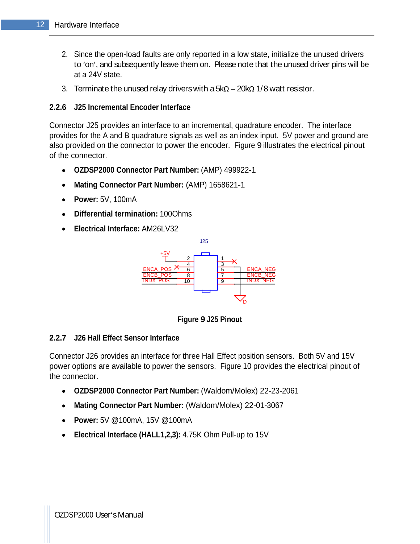- 2. Since the open-load faults are only reported in a low state, initialize the unused drivers to 'on', and subsequently leave them on. Please note that the unused driver pins will be at a 24V state.
- 3. Terminate the unused relay drivers with a  $5k\Omega 20k\Omega$  1/8 watt resistor.

#### **2.2.6 J25 Incremental Encoder Interface**

Connector J25 provides an interface to an incremental, quadrature encoder. The interface provides for the A and B quadrature signals as well as an index input. 5V power and ground are also provided on the connector to power the encoder. Figure 9 illustrates the electrical pinout of the connector.

- **OZDSP2000 Connector Part Number:** (AMP) 499922-1
- **Mating Connector Part Number:** (AMP) 1658621-1
- $\bullet$ **Power:** 5V, 100mA
- $\bullet$ **Differential termination:** 100Ohms
- **Electrical Interface:** AM26LV32



**Figure 9 J25 Pinout**

#### **2.2.7 J26 Hall Effect Sensor Interface**

Connector J26 provides an interface for three Hall Effect position sensors. Both 5V and 15V power options are available to power the sensors. Figure 10 provides the electrical pinout of the connector.

- **OZDSP2000 Connector Part Number:** (Waldom/Molex) 22-23-2061
- **Mating Connector Part Number:** (Waldom/Molex) 22-01-3067
- **Power:** 5V @100mA, 15V @100mA
- **Electrical Interface (HALL1,2,3):** 4.75K Ohm Pull-up to 15V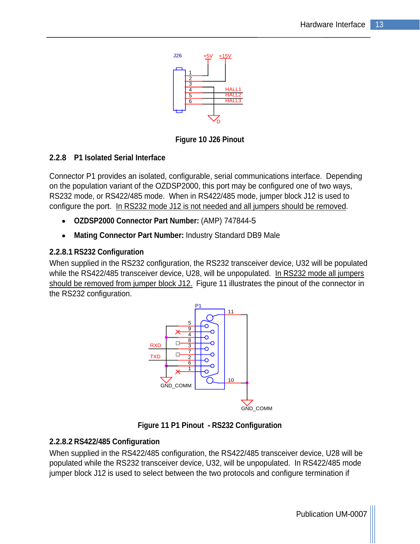

**Figure 10 J26 Pinout**

#### **2.2.8 P1 Isolated Serial Interface**

Connector P1 provides an isolated, configurable, serial communications interface. Depending on the population variant of the OZDSP2000, this port may be configured one of two ways, RS232 mode, or RS422/485 mode. When in RS422/485 mode, jumper block J12 is used to configure the port. In RS232 mode J12 is not needed and all jumpers should be removed.

- **OZDSP2000 Connector Part Number:** (AMP) 747844-5
- **Mating Connector Part Number:** Industry Standard DB9 Male

#### **2.2.8.1 RS232 Configuration**

When supplied in the RS232 configuration, the RS232 transceiver device, U32 will be populated while the RS422/485 transceiver device, U28, will be unpopulated. In RS232 mode all jumpers should be removed from jumper block J12. Figure 11 illustrates the pinout of the connector in the RS232 configuration.



**Figure 11 P1 Pinout - RS232 Configuration**

#### **2.2.8.2 RS422/485 Configuration**

When supplied in the RS422/485 configuration, the RS422/485 transceiver device, U28 will be populated while the RS232 transceiver device, U32, will be unpopulated. In RS422/485 mode jumper block J12 is used to select between the two protocols and configure termination if

Publication UM-0007 |||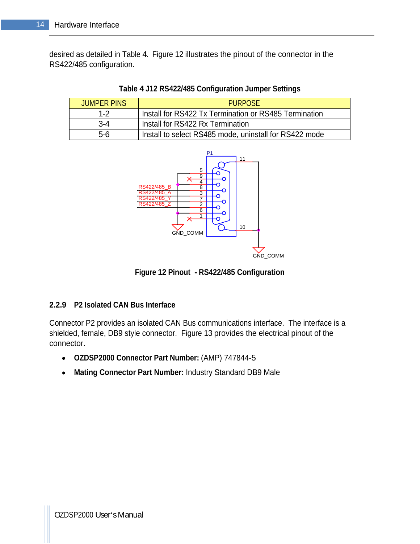desired as detailed in Table 4. Figure 12 illustrates the pinout of the connector in the RS422/485 configuration.

| <b>JUMPER PINS</b> | <b>PURPOSE</b>                                         |
|--------------------|--------------------------------------------------------|
|                    | Install for RS422 Tx Termination or RS485 Termination  |
|                    | Install for RS422 Rx Termination                       |
|                    | Install to select RS485 mode, uninstall for RS422 mode |





**Figure 12 Pinout - RS422/485 Configuration**

#### **2.2.9 P2 Isolated CAN Bus Interface**

Connector P2 provides an isolated CAN Bus communications interface. The interface is a shielded, female, DB9 style connector. Figure 13 provides the electrical pinout of the connector. The contractor of the contractor of the contractor of the contractor of the contractor of the contractor of the contractor of the contractor of the contractor of the contractor of the contractor of the contracto

- **OZDSP2000 Connector Part Number:** (AMP) 747844-5
- **Mating Connector Part Number:** Industry Standard DB9 Male  $\bullet$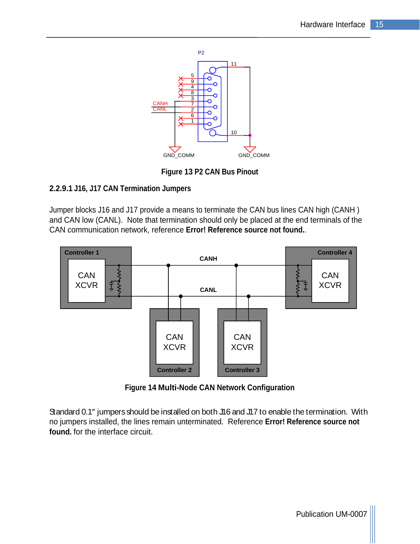

**Figure 13 P2 CAN Bus Pinout**

#### **2.2.9.1 J16, J17 CAN Termination Jumpers**

Jumper blocks J16 and J17 provide a means to terminate the CAN bus lines CAN high (CANH ) and CAN low (CANL). Note that termination should only be placed at the end terminals of the



**Figure 14 Multi-Node CAN Network Configuration**

Standard 0.1" jumpers should be installed on both J16 and J17 to enable the termination. With no jumpers installed, the lines remain unterminated. Reference **Error! Reference source not found.** for the interface circuit.

Publication UM-0007 |||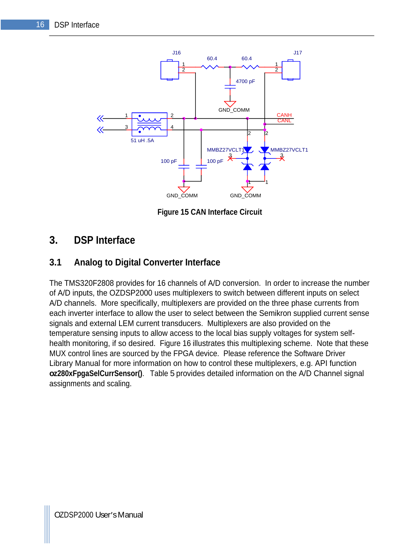

**Figure 15 CAN Interface Circuit**

# **3. DSP Interface**

### **3.1 Analog to Digital Converter Interface**

The TMS320F2808 provides for 16 channels of A/D conversion. In order to increase the number of A/D inputs, the OZDSP2000 uses multiplexers to switch between different inputs on select A/D channels. More specifically, multiplexers are provided on the three phase currents from each inverter interface to allow the user to select between the Semikron supplied current sense signals and external LEM current transducers. Multiplexers are also provided on the temperature sensing inputs to allow access to the local bias supply voltages for system self health monitoring, if so desired. Figure 16 illustrates this multiplexing scheme. Note that these MUX control lines are sourced by the FPGA device. Please reference the Software Driver Library Manual for more information on how to control these multiplexers, e.g. API function **oz280xFpgaSelCurrSensor()**. Table 5 provides detailed information on the A/D Channel signal assignments and scaling.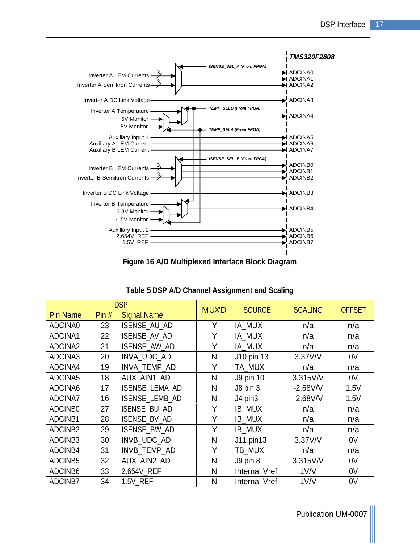

**Figure 16 A/D Multiplexed Interface Block Diagram**

| <b>DSP</b>                    |                 |                                   |              |                      |                   |                |
|-------------------------------|-----------------|-----------------------------------|--------------|----------------------|-------------------|----------------|
| <b>Pin Name</b>               |                 | $\vert$ Pin # $\vert$ Signal Name | MUXD         | SOURCE               | <b>SCALING</b>    | <b>OFFSET</b>  |
| ADCINA0                       | 23              | ISENSE_AU_AD                      |              | IA_MUX               | n/a               | n/a            |
| ADCINA1                       | 22              | ISENSE_AV_AD                      |              | IA_MUX               | n/a               | n/a            |
| ADCINA2<br>ADCINA3            | 21              | ISENSE_AW_AD                      | $\lambda$    | IA_MUX               | n/a               | n/a            |
|                               | 20              | NVA_UDC_AD                        | N            | J10 pin 13           | 3.37V/V           | 0V             |
| ADCINA4                       | 19              | INVA_TEMP_AD                      | $\mathbf{v}$ | TA_MUX               | n/a               | n/a            |
| ADCINA5                       | 18              | AUX_AIN1_AD                       | N            | J9 pin 10            | 3.315V/V          | 0V             |
| ADCINA6<br>ADCINA7<br>ADCINB0 |                 | ISENSE_LEMA_AD                    | N            | J8 pin 3             | $-2.68$ V/V       | 1.5V           |
|                               | 16              | ISENSE_LEMB_AD                    | $N$          | J4 pin3              | $-2.68$ V/V       | 1.5V           |
|                               | 27              | ISENSE_BU_AD                      |              | <b>IB_MUX</b>        | n/a               | n/a            |
| ADCINB1                       |                 | 28   ISENSE_BV_AD                 | $\lambda$    | <b>IB_MUX</b>        | n/a               | n/a            |
| ADCINB2                       |                 | 29   ISENSE_BW_AD                 |              | <b>IB_MUX</b>        | n/a               | n/a            |
| ADCINB3                       | 30 <sup>°</sup> | NVB_UDC_AD                        | N            | J11 pin13            | 3.37V/V           | 0V             |
| ADCINB4                       | 31              | INVB_TEMP_AD                      |              | TB_MUX               | n/a               | n/a            |
| ADCINB5                       |                 | 32   AUX_AIN2_AD                  | $N$          | J9 pin 8             | 3.315V/V          | 0 <sup>V</sup> |
| ADCINB6                       |                 | 33 2.654V_REF                     | N            | <b>Internal Vref</b> | 1 <sub>V</sub> /V | 0V             |
| ADCINB7                       |                 | 34   1.5V_REF                     | $N$          | Internal Vref        | 1 <sub>V</sub> /V | 0 <sup>V</sup> |

| Table 5 DSP A/D Channel Assignment and Scaling |  |  |
|------------------------------------------------|--|--|
|                                                |  |  |

Publication UM-0007 |||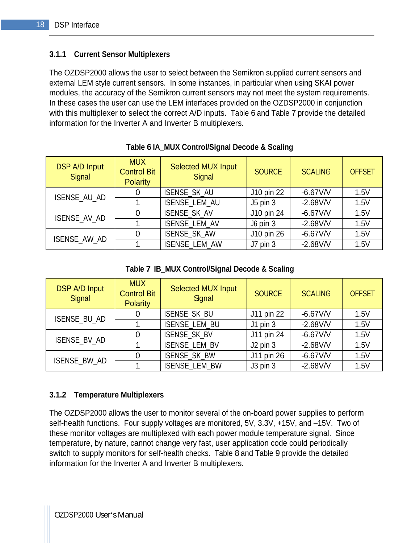#### **3.1.1 Current Sensor Multiplexers**

The OZDSP2000 allows the user to select between the Semikron supplied current sensors and external LEM style current sensors. In some instances, in particular when using SKAI power modules, the accuracy of the Semikron current sensors may not meet the system requirements. In these cases the user can use the LEM interfaces provided on the OZDSP2000 in conjunction with this multiplexer to select the correct A/D inputs. Table 6 and Table 7 provide the detailed information for the Inverter A and Inverter B multiplexers.

| DSP A/D Input<br>Signal | <b>MUX</b><br><b>Control Bit</b><br>Polarity | Selected MUX Input<br>Signal | <b>SOURCE</b> | SCALING     | <b>OFFSET</b> |
|-------------------------|----------------------------------------------|------------------------------|---------------|-------------|---------------|
|                         |                                              | ISENSE_SK_AU                 | J10 pin 22    | $-6.67$ V/V | 1.5V          |
| ISENSE_AU_AD            |                                              | SENSE_LEM_AU                 | ∴J5 pin       | $-2.68$ V/V | 1.5V          |
| ISENSE_AV_AD            |                                              | ISENSE_SK_AV                 | J10 pin 24    | $-6.67$ V/V | 1.5V          |
|                         |                                              | ISENSE_LEM_AV                | J6 pin 2      | $-2.68$ V/V | 1.5V          |
|                         |                                              | ISENSE_SK_AW                 | J10 pin 26    | $-6.67V/V$  | 1.5V          |
| ISENSE_AW_AD            |                                              | ISENSE_LEM_AW                |               | $-2.68$ V/V | 1.5V          |

#### **Table 6 IA\_MUX Control/Signal Decode & Scaling**

**Table 7 IB\_MUX Control/Signal Decode & Scaling**

| DSP A/D Input<br>Signal | <b>MUX</b><br><b>Control Bit</b><br>Polarity | <b>Selected MUX Input</b><br>Sgnal | SOURCE                            | <b>SCALING</b> | <b>OFFSET</b> |
|-------------------------|----------------------------------------------|------------------------------------|-----------------------------------|----------------|---------------|
|                         |                                              |                                    |                                   |                |               |
|                         |                                              | ISENSE_SK_BU                       | J11 pin 22                        | $-6.67V/V$     | 1.5V          |
| ISENSE_BU_AD            |                                              | ISENSE_LEM_BU                      |                                   | $-2.68$ V/V    | 1.5V          |
|                         |                                              | ISENSE_SK_BV                       | $J11$ pin 24                      | $-6.67$ V/V    | 1.5V          |
| ISENSE_BV_AD            |                                              | ISENSE_LEM_BV                      | $\vert$ J2 pin ?                  | $-2.68$ V/V    | 1.5V          |
|                         |                                              | ISENSE_SK_BW                       | J11 pin 26                        | $-6.67$ V/V    | 1.5V          |
| ISENSE_BW_AD            |                                              | ISENSE_LEM_BW                      | $\overline{\phantom{0}}$ J3 pin ? | $-2.68$ V/V    | 1.5V          |

#### **3.1.2 Temperature Multiplexers**

The OZDSP2000 allows the user to monitor several of the on-board power supplies to perform self-health functions. Four supply voltages are monitored, 5V, 3.3V, +15V, and -15V. Two of these monitor voltages are multiplexed with each power module temperature signal. Since temperature, by nature, cannot change very fast, user application code could periodically switch to supply monitors for self-health checks. Table 8 and Table 9 provide the detailed information for the Inverter A and Inverter B multiplexers.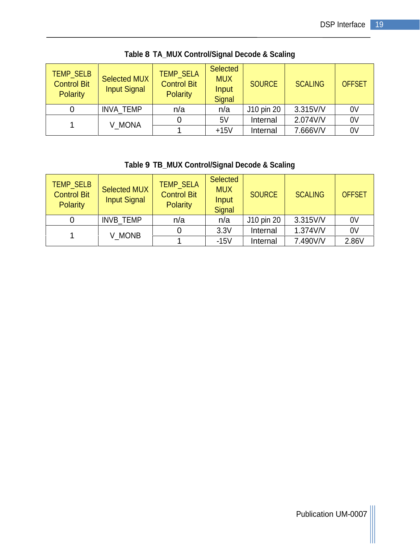|                             | TEMP SELB Selected MUX   Control Div<br><b>Control Bit</b><br>Polarity | <b>Input Signal</b> | TEMP_SELA<br><b>Control Bit</b><br>Polarity | ∣ Selected<br><b>MUX</b><br>المتمما<br>mput<br>Signal | SOURCE                   | <b>SCALING</b> | OFFSET         |
|-----------------------------|------------------------------------------------------------------------|---------------------|---------------------------------------------|-------------------------------------------------------|--------------------------|----------------|----------------|
|                             |                                                                        |                     | n/a                                         |                                                       | $J10 \,\mathrm{pin}\,20$ | 3.315V/V       |                |
| INVA_TEMP<br>0 <sup>V</sup> |                                                                        |                     |                                             |                                                       | Internal                 | 2.074V/V       | 0 <sub>V</sub> |
| V_MONA                      |                                                                        |                     |                                             | $+15V$                                                |                          | 7.666V/V       | 0 <sub>V</sub> |

**Table 8 TA\_MUX Control/Signal Decode & Scaling**

#### **Table 9 TB\_MUX Control/Signal Decode & Scaling**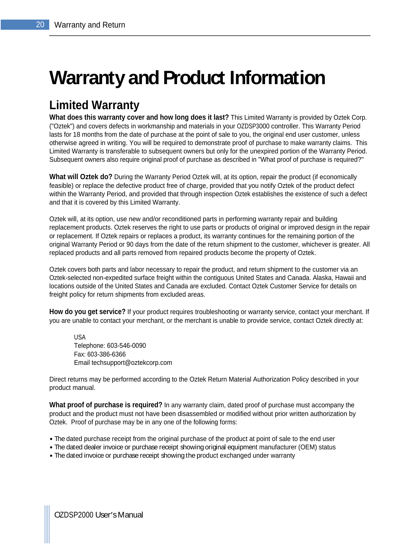# **Warranty and Product Information**

# **Limited Warranty**

**What does this warranty cover and how long does it last?** This Limited Warranty is provided by Oztek Corp. ("Oztek") and covers defects in workmanship and materials in your OZDSP3000 controller. This Warranty Period lasts for 18 months from the date of purchase at the point of sale to you, the original end user customer, unless otherwise agreed in writing. You will be required to demonstrate proof of purchase to make warranty claims. This Limited Warranty is transferable to subsequent owners but only for the unexpired portion of the Warranty Period. Subsequent owners also require original proof of purchase as described in "What proof of purchase is required?"

**What will Oztek do?** During the Warranty Period Oztek will, at its option, repair the product (if economically feasible) or replace the defective product free of charge, provided that you notify Oztek of the product defect within the Warranty Period, and provided that through inspection Oztek establishes the existence of such a defect and that it is covered by this Limited Warranty.

Oztek will, at its option, use new and/or reconditioned parts in performing warranty repair and building replacement products. Oztek reserves the right to use parts or products of original or improved design in the repair or replacement. If Oztek repairs or replaces a product, its warranty continues for the remaining portion of the original Warranty Period or 90 days from the date of the return shipment to the customer, whichever is greater. All replaced products and all parts removed from repaired products become the property of Oztek.

Oztek covers both parts and labor necessary to repair the product, and return shipment to the customer via an Oztek-selected non-expedited surface freight within the contiguous United States and Canada. Alaska, Hawaii and locations outside of the United States and Canada are excluded. Contact Oztek Customer Service for details on freight policy for return shipments from excluded areas.

**How do you get service?** If your product requires troubleshooting or warranty service, contact your merchant. If you are unable to contact your merchant, or the merchant is unable to provide service, contact Oztek directly at:

USA and the contract of the contract of the contract of the contract of the contract of the contract of the contract of the contract of the contract of the contract of the contract of the contract of the contract of the co Telephone: 603-546-0090 Fax: 603-386-6366 Email techsupport@oztekcorp.com

Direct returns may be performed according to the Oztek Return Material Authorization Policy described in your product manual.

**What proof of purchase is required?** In any warranty claim, dated proof of purchase must accompany the product and the product must not have been disassembled or modified without prior written authorization by Oztek. Proof of purchase may be in any one of the following forms:

- The dated purchase receipt from the original purchase of the product at point of sale to the end user
- The dated dealer invoice or purchase receipt showing original equipment manufacturer (OEM) status
- The dated invoice or purchase receipt showing the product exchanged under warranty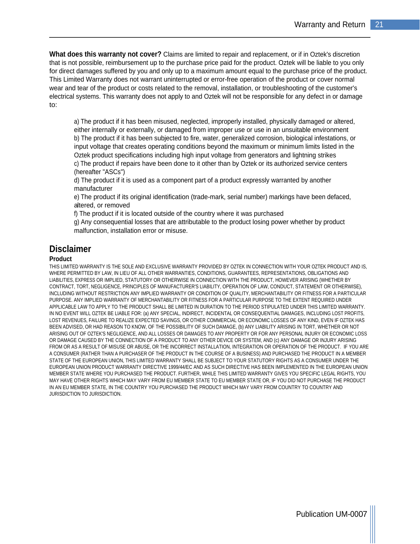**What does this warranty not cover?** Claims are limited to repair and replacement, or if in Oztek's discretion that is not possible, reimbursement up to the purchase price paid for the product. Oztek will be liable to you only for direct damages suffered by you and only up to a maximum amount equal to the purchase price of the product. This Limited Warranty does not warrant uninterrupted or error-free operation of the product or cover normal wear and tear of the product or costs related to the removal, installation, or troubleshooting of the customer's electrical systems. This warranty does not apply to and Oztek will not be responsible for any defect in or damage to:

a) The product if it has been misused, neglected, improperly installed, physically damaged or altered, either internally or externally, or damaged from improper use or use in an unsuitable environment b) The product if it has been subjected to fire, water, generalized corrosion, biological infestations, or input voltage that creates operating conditions beyond the maximum or minimum limits listed in the Oztek product specifications including high input voltage from generators and lightning strikes c) The product if repairs have been done to it other than by Oztek or its authorized service centers (hereafter "ASCs")

d) The product if it is used as a component part of a product expressly warranted by another manufacturer

e) The product if its original identification (trade-mark, serial number) markings have been defaced, altered, or removed

f) The product if it is located outside of the country where it was purchased

g) Any consequential losses that are attributable to the product losing power whether by product malfunction, installation error or misuse.

#### **Disclaimer**

#### **Product**

THIS LIMITED WARRANTY IS THE SOLE AND EXCLUSIVE WARRANTY PROVIDED BY OZTEK IN CONNECTION WITH YOUR OZTEK PRODUCT AND IS, WHERE PERMITTED BY LAW, IN LIEU OF ALL OTHER WARRANTIES, CONDITIONS, GUARANTEES, REPRESENTATIONS, OBLIGATIONS AND LIABILITIES, EXPRESS OR IMPLIED, STATUTORY OR OTHERWISE IN CONNECTION WITH THE PRODUCT, HOWEVER ARISING (WHETHER BY CONTRACT, TORT, NEGLIGENCE, PRINCIPLES OF MANUFACTURER'S LIABILITY, OPERATION OF LAW, CONDUCT, STATEMENT OR OTHERWISE), INCLUDING WITHOUT RESTRICTION ANY IMPLIED WARRANTY OR CONDITION OF QUALITY, MERCHANTABILITY OR FITNESS FOR A PARTICULAR PURPOSE. ANY IMPLIED WARRANTY OF MERCHANTABILITY OR FITNESS FOR A PARTICULAR PURPOSE TO THE EXTENT REQUIRED UNDER APPLICABLE LAW TO APPLY TO THE PRODUCT SHALL BE LIMITED IN DURATION TO THE PERIOD STIPULATED UNDER THIS LIMITED WARRANTY. IN NO EVENT WILL OZTEK BE LIABLE FOR: (a) ANY SPECIAL, INDIRECT, INCIDENTAL OR CONSEQUENTIAL DAMAGES, INCLUDING LOST PROFITS, LOST REVENUES, FAILURE TO REALIZE EXPECTED SAVINGS, OR OTHER COMMERCIAL OR ECONOMIC LOSSES OF ANY KIND, EVEN IF OZTEK HAS BEEN ADVISED, OR HAD REASON TO KNOW, OF THE POSSIBILITY OF SUCH DAMAGE, (b) ANY LIABILITY ARISING IN TORT, WHETHER OR NOT ARISING OUT OF OZTEK'S NEGLIGENCE, AND ALL LOSSES OR DAMAGES TO ANY PROPERTY OR FOR ANY PERSONAL INJURY OR ECONOMIC LOSS OR DAMAGE CAUSED BY THE CONNECTION OF A PRODUCT TO ANY OTHER DEVICE OR SYSTEM, AND (c) ANY DAMAGE OR INJURY ARISING FROM OR AS A RESULT OF MISUSE OR ABUSE, OR THE INCORRECT INSTALLATION, INTEGRATION OR OPERATION OF THE PRODUCT. IF YOU ARE A CONSUMER (RATHER THAN A PURCHASER OF THE PRODUCT IN THE COURSE OF A BUSINESS) AND PURCHASED THE PRODUCT IN A MEMBER STATE OF THE EUROPEAN UNION, THIS LIMITED WARRANTY SHALL BE SUBJECT TO YOUR STATUTORY RIGHTS AS A CONSUMER UNDER THE EUROPEAN UNION PRODUCT WARRANTY DIRECTIVE 1999/44/EC AND AS SUCH DIRECTIVE HAS BEEN IMPLEMENTED IN THE EUROPEAN UNION MEMBER STATE WHERE YOU PURCHASED THE PRODUCT. FURTHER, WHILE THIS LIMITED WARRANTY GIVES YOU SPECIFIC LEGAL RIGHTS, YOU MAY HAVE OTHER RIGHTS WHICH MAY VARY FROM EU MEMBER STATE TO EU MEMBER STATE OR, IF YOU DID NOT PURCHASE THE PRODUCT IN AN EU MEMBER STATE, IN THE COUNTRY YOU PURCHASED THE PRODUCT WHICH MAY VARY FROM COUNTRY TO COUNTRY AND JURISDICTION TO JURISDICTION.